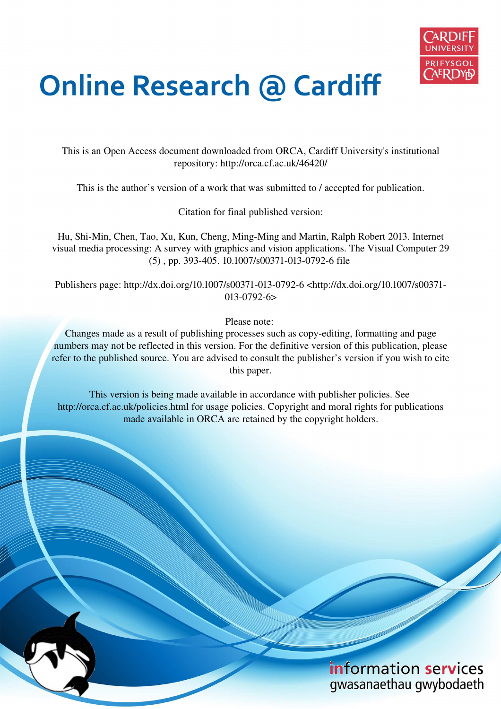

# **Online Research @ Cardiff**

This is an Open Access document downloaded from ORCA, Cardiff University's institutional repository: http://orca.cf.ac.uk/46420/

This is the author's version of a work that was submitted to / accepted for publication.

Citation for final published version:

Hu, Shi-Min, Chen, Tao, Xu, Kun, Cheng, Ming-Ming and Martin, Ralph Robert 2013. Internet visual media processing: A survey with graphics and vision applications. The Visual Computer 29 (5) , pp. 393-405. 10.1007/s00371-013-0792-6 file

Publishers page: http://dx.doi.org/10.1007/s00371-013-0792-6 <http://dx.doi.org/10.1007/s00371- 013-0792-6>

Please note:

Changes made as a result of publishing processes such as copy-editing, formatting and page numbers may not be reflected in this version. For the definitive version of this publication, please refer to the published source. You are advised to consult the publisher's version if you wish to cite this paper.

This version is being made available in accordance with publisher policies. See http://orca.cf.ac.uk/policies.html for usage policies. Copyright and moral rights for publications made available in ORCA are retained by the copyright holders.

## information services gwasanaethau gwybodaeth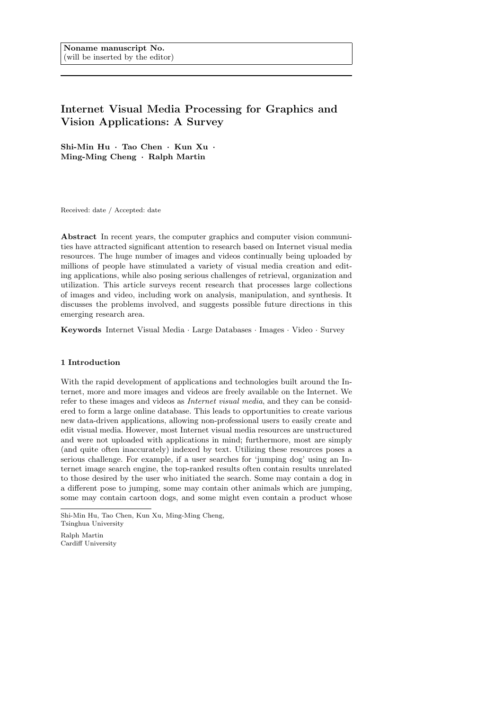### Internet Visual Media Processing for Graphics and Vision Applications: A Survey

Shi-Min Hu · Tao Chen · Kun Xu · Ming-Ming Cheng · Ralph Martin

Received: date / Accepted: date

Abstract In recent years, the computer graphics and computer vision communities have attracted significant attention to research based on Internet visual media resources. The huge number of images and videos continually being uploaded by millions of people have stimulated a variety of visual media creation and editing applications, while also posing serious challenges of retrieval, organization and utilization. This article surveys recent research that processes large collections of images and video, including work on analysis, manipulation, and synthesis. It discusses the problems involved, and suggests possible future directions in this emerging research area.

Keywords Internet Visual Media · Large Databases · Images · Video · Survey

#### 1 Introduction

With the rapid development of applications and technologies built around the Internet, more and more images and videos are freely available on the Internet. We refer to these images and videos as Internet visual media, and they can be considered to form a large online database. This leads to opportunities to create various new data-driven applications, allowing non-professional users to easily create and edit visual media. However, most Internet visual media resources are unstructured and were not uploaded with applications in mind; furthermore, most are simply (and quite often inaccurately) indexed by text. Utilizing these resources poses a serious challenge. For example, if a user searches for 'jumping dog' using an Internet image search engine, the top-ranked results often contain results unrelated to those desired by the user who initiated the search. Some may contain a dog in a different pose to jumping, some may contain other animals which are jumping, some may contain cartoon dogs, and some might even contain a product whose

Tsinghua University

Ralph Martin Cardiff University

Shi-Min Hu, Tao Chen, Kun Xu, Ming-Ming Cheng,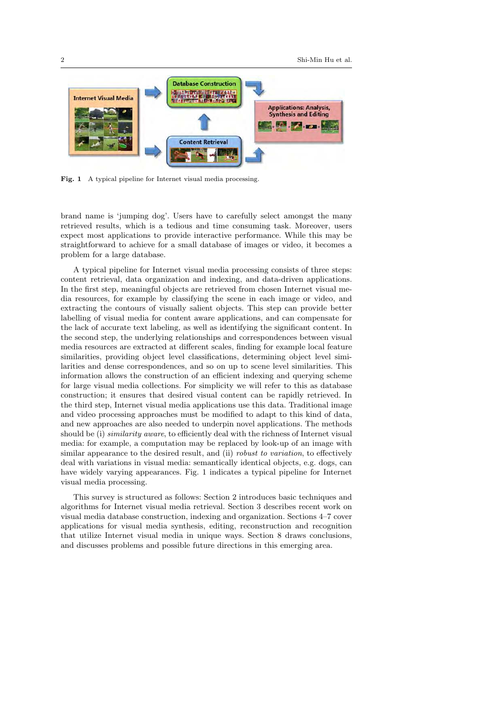

Fig. 1 A typical pipeline for Internet visual media processing.

brand name is 'jumping dog'. Users have to carefully select amongst the many retrieved results, which is a tedious and time consuming task. Moreover, users expect most applications to provide interactive performance. While this may be straightforward to achieve for a small database of images or video, it becomes a problem for a large database.

A typical pipeline for Internet visual media processing consists of three steps: content retrieval, data organization and indexing, and data-driven applications. In the first step, meaningful objects are retrieved from chosen Internet visual media resources, for example by classifying the scene in each image or video, and extracting the contours of visually salient objects. This step can provide better labelling of visual media for content aware applications, and can compensate for the lack of accurate text labeling, as well as identifying the significant content. In the second step, the underlying relationships and correspondences between visual media resources are extracted at different scales, finding for example local feature similarities, providing object level classifications, determining object level similarities and dense correspondences, and so on up to scene level similarities. This information allows the construction of an efficient indexing and querying scheme for large visual media collections. For simplicity we will refer to this as database construction; it ensures that desired visual content can be rapidly retrieved. In the third step, Internet visual media applications use this data. Traditional image and video processing approaches must be modified to adapt to this kind of data, and new approaches are also needed to underpin novel applications. The methods should be (i) *similarity aware*, to efficiently deal with the richness of Internet visual media: for example, a computation may be replaced by look-up of an image with similar appearance to the desired result, and (ii) *robust to variation*, to effectively deal with variations in visual media: semantically identical objects, e.g. dogs, can have widely varying appearances. Fig. 1 indicates a typical pipeline for Internet visual media processing.

This survey is structured as follows: Section 2 introduces basic techniques and algorithms for Internet visual media retrieval. Section 3 describes recent work on visual media database construction, indexing and organization. Sections 4–7 cover applications for visual media synthesis, editing, reconstruction and recognition that utilize Internet visual media in unique ways. Section 8 draws conclusions, and discusses problems and possible future directions in this emerging area.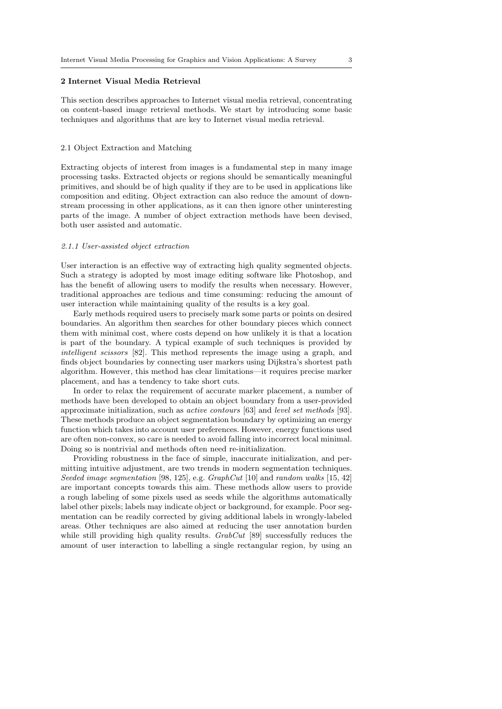#### 2 Internet Visual Media Retrieval

This section describes approaches to Internet visual media retrieval, concentrating on content-based image retrieval methods. We start by introducing some basic techniques and algorithms that are key to Internet visual media retrieval.

#### 2.1 Object Extraction and Matching

Extracting objects of interest from images is a fundamental step in many image processing tasks. Extracted objects or regions should be semantically meaningful primitives, and should be of high quality if they are to be used in applications like composition and editing. Object extraction can also reduce the amount of downstream processing in other applications, as it can then ignore other uninteresting parts of the image. A number of object extraction methods have been devised, both user assisted and automatic.

#### 2.1.1 User-assisted object extraction

User interaction is an effective way of extracting high quality segmented objects. Such a strategy is adopted by most image editing software like Photoshop, and has the benefit of allowing users to modify the results when necessary. However, traditional approaches are tedious and time consuming: reducing the amount of user interaction while maintaining quality of the results is a key goal.

Early methods required users to precisely mark some parts or points on desired boundaries. An algorithm then searches for other boundary pieces which connect them with minimal cost, where costs depend on how unlikely it is that a location is part of the boundary. A typical example of such techniques is provided by intelligent scissors [82]. This method represents the image using a graph, and finds object boundaries by connecting user markers using Dijkstra's shortest path algorithm. However, this method has clear limitations—it requires precise marker placement, and has a tendency to take short cuts.

In order to relax the requirement of accurate marker placement, a number of methods have been developed to obtain an object boundary from a user-provided approximate initialization, such as active contours [63] and level set methods [93]. These methods produce an object segmentation boundary by optimizing an energy function which takes into account user preferences. However, energy functions used are often non-convex, so care is needed to avoid falling into incorrect local minimal. Doing so is nontrivial and methods often need re-initialization.

Providing robustness in the face of simple, inaccurate initialization, and permitting intuitive adjustment, are two trends in modern segmentation techniques. Seeded image segmentation [98, 125], e.g. GraphCut [10] and random walks [15, 42] are important concepts towards this aim. These methods allow users to provide a rough labeling of some pixels used as seeds while the algorithms automatically label other pixels; labels may indicate object or background, for example. Poor segmentation can be readily corrected by giving additional labels in wrongly-labeled areas. Other techniques are also aimed at reducing the user annotation burden while still providing high quality results. GrabCut [89] successfully reduces the amount of user interaction to labelling a single rectangular region, by using an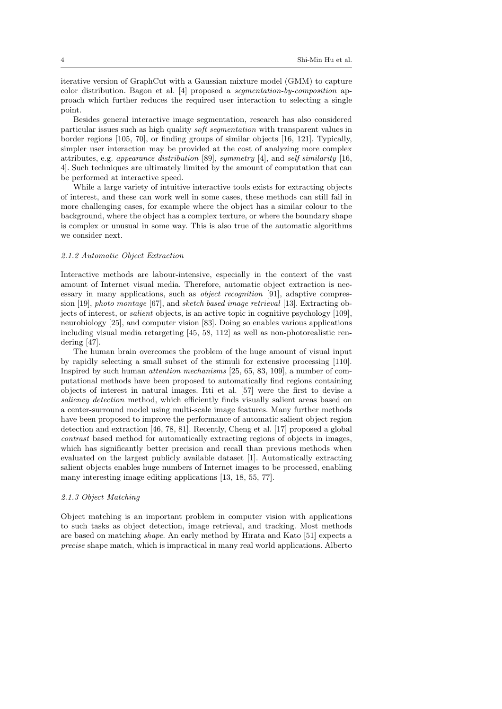iterative version of GraphCut with a Gaussian mixture model (GMM) to capture color distribution. Bagon et al. [4] proposed a segmentation-by-composition approach which further reduces the required user interaction to selecting a single point.

Besides general interactive image segmentation, research has also considered particular issues such as high quality soft segmentation with transparent values in border regions [105, 70], or finding groups of similar objects [16, 121]. Typically, simpler user interaction may be provided at the cost of analyzing more complex attributes, e.g. appearance distribution [89], symmetry [4], and self similarity [16, 4]. Such techniques are ultimately limited by the amount of computation that can be performed at interactive speed.

While a large variety of intuitive interactive tools exists for extracting objects of interest, and these can work well in some cases, these methods can still fail in more challenging cases, for example where the object has a similar colour to the background, where the object has a complex texture, or where the boundary shape is complex or unusual in some way. This is also true of the automatic algorithms we consider next.

#### 2.1.2 Automatic Object Extraction

Interactive methods are labour-intensive, especially in the context of the vast amount of Internet visual media. Therefore, automatic object extraction is necessary in many applications, such as object recognition [91], adaptive compression [19], photo montage [67], and sketch based image retrieval [13]. Extracting objects of interest, or salient objects, is an active topic in cognitive psychology [109], neurobiology [25], and computer vision [83]. Doing so enables various applications including visual media retargeting [45, 58, 112] as well as non-photorealistic rendering [47].

The human brain overcomes the problem of the huge amount of visual input by rapidly selecting a small subset of the stimuli for extensive processing [110]. Inspired by such human attention mechanisms [25, 65, 83, 109], a number of computational methods have been proposed to automatically find regions containing objects of interest in natural images. Itti et al. [57] were the first to devise a saliency detection method, which efficiently finds visually salient areas based on a center-surround model using multi-scale image features. Many further methods have been proposed to improve the performance of automatic salient object region detection and extraction [46, 78, 81]. Recently, Cheng et al. [17] proposed a global contrast based method for automatically extracting regions of objects in images, which has significantly better precision and recall than previous methods when evaluated on the largest publicly available dataset [1]. Automatically extracting salient objects enables huge numbers of Internet images to be processed, enabling many interesting image editing applications [13, 18, 55, 77].

#### 2.1.3 Object Matching

Object matching is an important problem in computer vision with applications to such tasks as object detection, image retrieval, and tracking. Most methods are based on matching shape. An early method by Hirata and Kato [51] expects a precise shape match, which is impractical in many real world applications. Alberto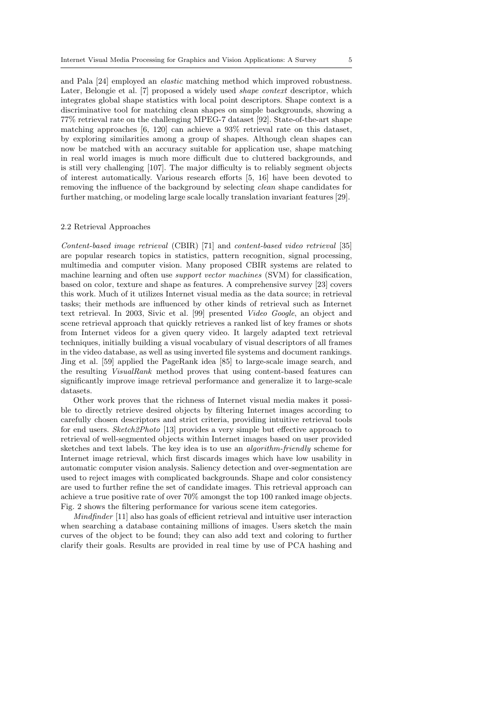and Pala [24] employed an elastic matching method which improved robustness. Later, Belongie et al. [7] proposed a widely used *shape context* descriptor, which integrates global shape statistics with local point descriptors. Shape context is a discriminative tool for matching clean shapes on simple backgrounds, showing a 77% retrieval rate on the challenging MPEG-7 dataset [92]. State-of-the-art shape matching approaches [6, 120] can achieve a 93% retrieval rate on this dataset, by exploring similarities among a group of shapes. Although clean shapes can now be matched with an accuracy suitable for application use, shape matching in real world images is much more difficult due to cluttered backgrounds, and is still very challenging [107]. The major difficulty is to reliably segment objects of interest automatically. Various research efforts [5, 16] have been devoted to removing the influence of the background by selecting clean shape candidates for further matching, or modeling large scale locally translation invariant features [29].

#### 2.2 Retrieval Approaches

Content-based image retrieval (CBIR) [71] and content-based video retrieval [35] are popular research topics in statistics, pattern recognition, signal processing, multimedia and computer vision. Many proposed CBIR systems are related to machine learning and often use support vector machines (SVM) for classification, based on color, texture and shape as features. A comprehensive survey [23] covers this work. Much of it utilizes Internet visual media as the data source; in retrieval tasks; their methods are influenced by other kinds of retrieval such as Internet text retrieval. In 2003, Sivic et al. [99] presented Video Google, an object and scene retrieval approach that quickly retrieves a ranked list of key frames or shots from Internet videos for a given query video. It largely adapted text retrieval techniques, initially building a visual vocabulary of visual descriptors of all frames in the video database, as well as using inverted file systems and document rankings. Jing et al. [59] applied the PageRank idea [85] to large-scale image search, and the resulting VisualRank method proves that using content-based features can significantly improve image retrieval performance and generalize it to large-scale datasets.

Other work proves that the richness of Internet visual media makes it possible to directly retrieve desired objects by filtering Internet images according to carefully chosen descriptors and strict criteria, providing intuitive retrieval tools for end users. Sketch2Photo [13] provides a very simple but effective approach to retrieval of well-segmented objects within Internet images based on user provided sketches and text labels. The key idea is to use an algorithm-friendly scheme for Internet image retrieval, which first discards images which have low usability in automatic computer vision analysis. Saliency detection and over-segmentation are used to reject images with complicated backgrounds. Shape and color consistency are used to further refine the set of candidate images. This retrieval approach can achieve a true positive rate of over 70% amongst the top 100 ranked image objects. Fig. 2 shows the filtering performance for various scene item categories.

Mindfinder [11] also has goals of efficient retrieval and intuitive user interaction when searching a database containing millions of images. Users sketch the main curves of the object to be found; they can also add text and coloring to further clarify their goals. Results are provided in real time by use of PCA hashing and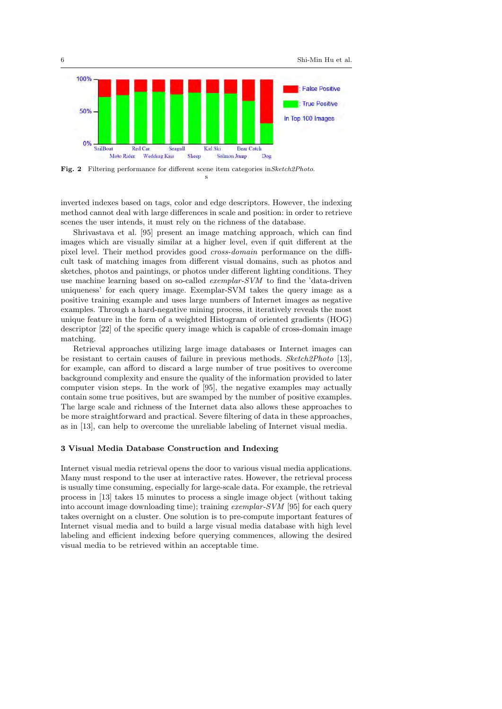

Fig. 2 Filtering performance for different scene item categories inSketch2Photo.

inverted indexes based on tags, color and edge descriptors. However, the indexing method cannot deal with large differences in scale and position: in order to retrieve scenes the user intends, it must rely on the richness of the database.

s

Shrivastava et al. [95] present an image matching approach, which can find images which are visually similar at a higher level, even if quit different at the pixel level. Their method provides good cross-domain performance on the difficult task of matching images from different visual domains, such as photos and sketches, photos and paintings, or photos under different lighting conditions. They use machine learning based on so-called exemplar-SVM to find the 'data-driven uniqueness' for each query image. Exemplar-SVM takes the query image as a positive training example and uses large numbers of Internet images as negative examples. Through a hard-negative mining process, it iteratively reveals the most unique feature in the form of a weighted Histogram of oriented gradients (HOG) descriptor [22] of the specific query image which is capable of cross-domain image matching.

Retrieval approaches utilizing large image databases or Internet images can be resistant to certain causes of failure in previous methods. Sketch2Photo [13], for example, can afford to discard a large number of true positives to overcome background complexity and ensure the quality of the information provided to later computer vision steps. In the work of [95], the negative examples may actually contain some true positives, but are swamped by the number of positive examples. The large scale and richness of the Internet data also allows these approaches to be more straightforward and practical. Severe filtering of data in these approaches, as in [13], can help to overcome the unreliable labeling of Internet visual media.

#### 3 Visual Media Database Construction and Indexing

Internet visual media retrieval opens the door to various visual media applications. Many must respond to the user at interactive rates. However, the retrieval process is usually time consuming, especially for large-scale data. For example, the retrieval process in [13] takes 15 minutes to process a single image object (without taking into account image downloading time); training exemplar-SVM [95] for each query takes overnight on a cluster. One solution is to pre-compute important features of Internet visual media and to build a large visual media database with high level labeling and efficient indexing before querying commences, allowing the desired visual media to be retrieved within an acceptable time.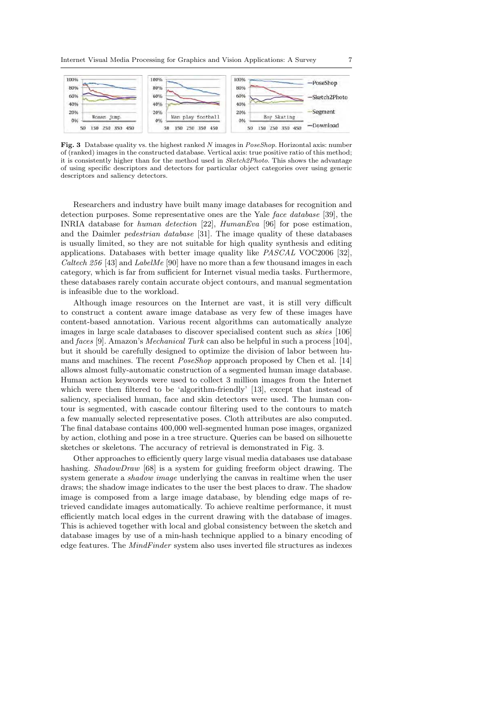

Fig. 3 Database quality vs. the highest ranked N images in PoseShop. Horizontal axis: number of (ranked) images in the constructed database. Vertical axis: true positive ratio of this method; it is consistently higher than for the method used in Sketch2Photo. This shows the advantage of using specific descriptors and detectors for particular object categories over using generic descriptors and saliency detectors.

Researchers and industry have built many image databases for recognition and detection purposes. Some representative ones are the Yale face database [39], the INRIA database for human detection [22], HumanEva [96] for pose estimation, and the Daimler pedestrian database [31]. The image quality of these databases is usually limited, so they are not suitable for high quality synthesis and editing applications. Databases with better image quality like PASCAL VOC2006 [32], Caltech  $256$  [43] and LabelMe [90] have no more than a few thousand images in each category, which is far from sufficient for Internet visual media tasks. Furthermore, these databases rarely contain accurate object contours, and manual segmentation is infeasible due to the workload.

Although image resources on the Internet are vast, it is still very difficult to construct a content aware image database as very few of these images have content-based annotation. Various recent algorithms can automatically analyze images in large scale databases to discover specialised content such as skies [106] and faces [9]. Amazon's Mechanical Turk can also be helpful in such a process [104], but it should be carefully designed to optimize the division of labor between humans and machines. The recent PoseShop approach proposed by Chen et al. [14] allows almost fully-automatic construction of a segmented human image database. Human action keywords were used to collect 3 million images from the Internet which were then filtered to be 'algorithm-friendly' [13], except that instead of saliency, specialised human, face and skin detectors were used. The human contour is segmented, with cascade contour filtering used to the contours to match a few manually selected representative poses. Cloth attributes are also computed. The final database contains 400,000 well-segmented human pose images, organized by action, clothing and pose in a tree structure. Queries can be based on silhouette sketches or skeletons. The accuracy of retrieval is demonstrated in Fig. 3.

Other approaches to efficiently query large visual media databases use database hashing. *ShadowDraw* [68] is a system for guiding freeform object drawing. The system generate a shadow image underlying the canvas in realtime when the user draws; the shadow image indicates to the user the best places to draw. The shadow image is composed from a large image database, by blending edge maps of retrieved candidate images automatically. To achieve realtime performance, it must efficiently match local edges in the current drawing with the database of images. This is achieved together with local and global consistency between the sketch and database images by use of a min-hash technique applied to a binary encoding of edge features. The MindFinder system also uses inverted file structures as indexes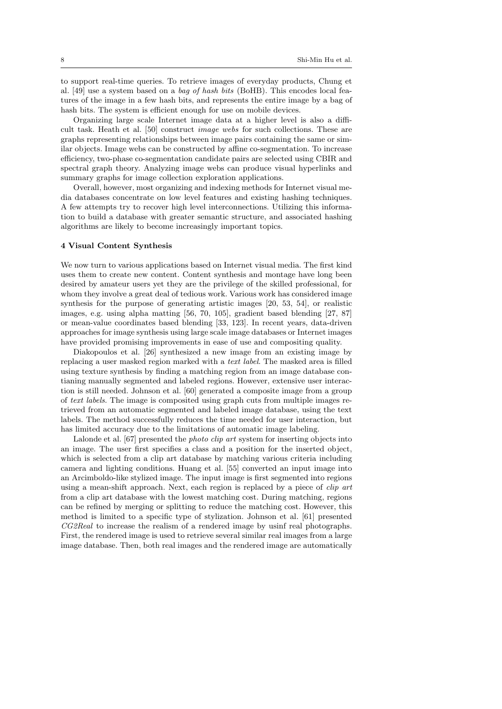to support real-time queries. To retrieve images of everyday products, Chung et al. [49] use a system based on a bag of hash bits (BoHB). This encodes local features of the image in a few hash bits, and represents the entire image by a bag of hash bits. The system is efficient enough for use on mobile devices.

Organizing large scale Internet image data at a higher level is also a difficult task. Heath et al. [50] construct image webs for such collections. These are graphs representing relationships between image pairs containing the same or similar objects. Image webs can be constructed by affine co-segmentation. To increase efficiency, two-phase co-segmentation candidate pairs are selected using CBIR and spectral graph theory. Analyzing image webs can produce visual hyperlinks and summary graphs for image collection exploration applications.

Overall, however, most organizing and indexing methods for Internet visual media databases concentrate on low level features and existing hashing techniques. A few attempts try to recover high level interconnections. Utilizing this information to build a database with greater semantic structure, and associated hashing algorithms are likely to become increasingly important topics.

#### 4 Visual Content Synthesis

We now turn to various applications based on Internet visual media. The first kind uses them to create new content. Content synthesis and montage have long been desired by amateur users yet they are the privilege of the skilled professional, for whom they involve a great deal of tedious work. Various work has considered image synthesis for the purpose of generating artistic images [20, 53, 54], or realistic images, e.g. using alpha matting [56, 70, 105], gradient based blending [27, 87] or mean-value coordinates based blending [33, 123]. In recent years, data-driven approaches for image synthesis using large scale image databases or Internet images have provided promising improvements in ease of use and compositing quality.

Diakopoulos et al. [26] synthesized a new image from an existing image by replacing a user masked region marked with a text label. The masked area is filled using texture synthesis by finding a matching region from an image database contianing manually segmented and labeled regions. However, extensive user interaction is still needed. Johnson et al. [60] generated a composite image from a group of text labels. The image is composited using graph cuts from multiple images retrieved from an automatic segmented and labeled image database, using the text labels. The method successfully reduces the time needed for user interaction, but has limited accuracy due to the limitations of automatic image labeling.

Lalonde et al. [67] presented the photo clip art system for inserting objects into an image. The user first specifies a class and a position for the inserted object, which is selected from a clip art database by matching various criteria including camera and lighting conditions. Huang et al. [55] converted an input image into an Arcimboldo-like stylized image. The input image is first segmented into regions using a mean-shift approach. Next, each region is replaced by a piece of clip art from a clip art database with the lowest matching cost. During matching, regions can be refined by merging or splitting to reduce the matching cost. However, this method is limited to a specific type of stylization. Johnson et al. [61] presented CG2Real to increase the realism of a rendered image by usinf real photographs. First, the rendered image is used to retrieve several similar real images from a large image database. Then, both real images and the rendered image are automatically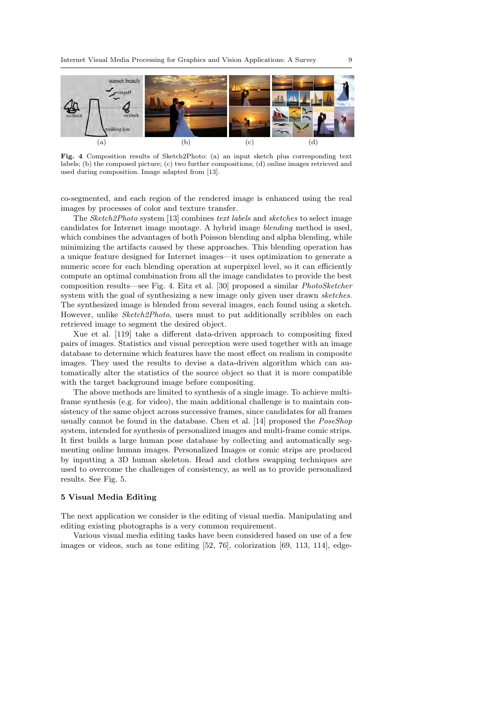

Fig. 4 Composition results of Sketch2Photo: (a) an input sketch plus corresponding text labels; (b) the composed picture; (c) two further compositions; (d) online images retrieved and used during composition. Image adapted from [13].

co-segmented, and each region of the rendered image is enhanced using the real images by processes of color and texture transfer.

The Sketch2Photo system [13] combines text labels and sketches to select image candidates for Internet image montage. A hybrid image blending method is used, which combines the advantages of both Poisson blending and alpha blending, while minimizing the artifacts caused by these approaches. This blending operation has a unique feature designed for Internet images—it uses optimization to generate a numeric score for each blending operation at superpixel level, so it can efficiently compute an optimal combination from all the image candidates to provide the best composition results—see Fig. 4. Eitz et al. [30] proposed a similar PhotoSketcher system with the goal of synthesizing a new image only given user drawn sketches. The synthesized image is blended from several images, each found using a sketch. However, unlike Sketch2Photo, users must to put additionally scribbles on each retrieved image to segment the desired object.

Xue et al. [119] take a different data-driven approach to compositing fixed pairs of images. Statistics and visual perception were used together with an image database to determine which features have the most effect on realism in composite images. They used the results to devise a data-driven algorithm which can automatically alter the statistics of the source object so that it is more compatible with the target background image before compositing.

The above methods are limited to synthesis of a single image. To achieve multiframe synthesis (e.g. for video), the main additional challenge is to maintain consistency of the same object across successive frames, since candidates for all frames usually cannot be found in the database. Chen et al. [14] proposed the PoseShop system, intended for synthesis of personalized images and multi-frame comic strips. It first builds a large human pose database by collecting and automatically segmenting online human images. Personalized Images or comic strips are produced by inputting a 3D human skeleton. Head and clothes swapping techniques are used to overcome the challenges of consistency, as well as to provide personalized results. See Fig. 5.

#### 5 Visual Media Editing

The next application we consider is the editing of visual media. Manipulating and editing existing photographs is a very common requirement.

Various visual media editing tasks have been considered based on use of a few images or videos, such as tone editing [52, 76], colorization [69, 113, 114], edge-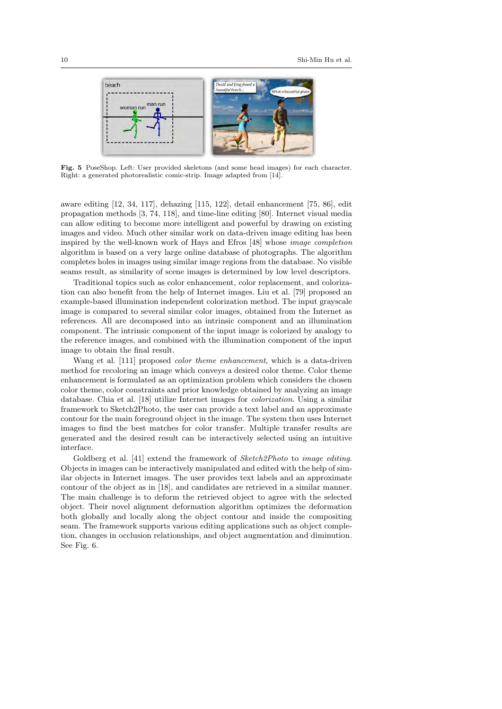

Fig. 5 PoseShop. Left: User provided skeletons (and some head images) for each character. Right: a generated photorealistic comic-strip. Image adapted from [14].

aware editing [12, 34, 117], dehazing [115, 122], detail enhancement [75, 86], edit propagation methods [3, 74, 118], and time-line editing [80]. Internet visual media can allow editing to become more intelligent and powerful by drawing on existing images and video. Much other similar work on data-driven image editing has been inspired by the well-known work of Hays and Efros [48] whose image completion algorithm is based on a very large online database of photographs. The algorithm completes holes in images using similar image regions from the database. No visible seams result, as similarity of scene images is determined by low level descriptors.

Traditional topics such as color enhancement, color replacement, and colorization can also benefit from the help of Internet images. Liu et al. [79] proposed an example-based illumination independent colorization method. The input grayscale image is compared to several similar color images, obtained from the Internet as references. All are decomposed into an intrinsic component and an illumination component. The intrinsic component of the input image is colorized by analogy to the reference images, and combined with the illumination component of the input image to obtain the final result.

Wang et al. [111] proposed color theme enhancement, which is a data-driven method for recoloring an image which conveys a desired color theme. Color theme enhancement is formulated as an optimization problem which considers the chosen color theme, color constraints and prior knowledge obtained by analyzing an image database. Chia et al. [18] utilize Internet images for colorization. Using a similar framework to Sketch2Photo, the user can provide a text label and an approximate contour for the main foreground object in the image. The system then uses Internet images to find the best matches for color transfer. Multiple transfer results are generated and the desired result can be interactively selected using an intuitive interface.

Goldberg et al. [41] extend the framework of *Sketch2Photo* to *image editing.* Objects in images can be interactively manipulated and edited with the help of similar objects in Internet images. The user provides text labels and an approximate contour of the object as in [18], and candidates are retrieved in a similar manner. The main challenge is to deform the retrieved object to agree with the selected object. Their novel alignment deformation algorithm optimizes the deformation both globally and locally along the object contour and inside the compositing seam. The framework supports various editing applications such as object completion, changes in occlusion relationships, and object augmentation and diminution. See Fig. 6.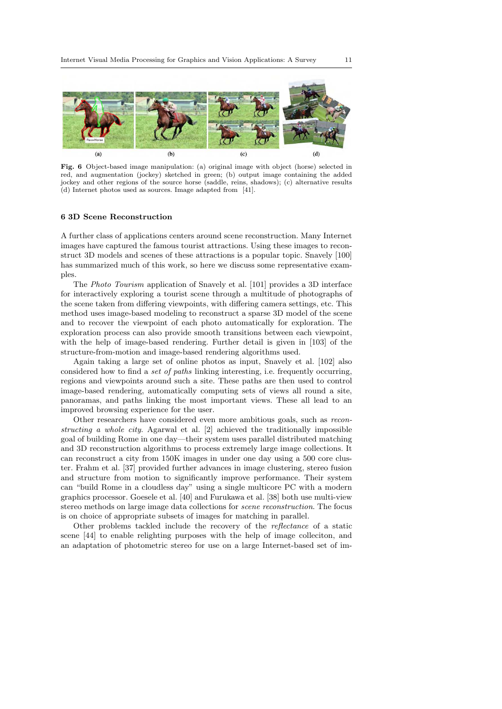

Fig. 6 Object-based image manipulation: (a) original image with object (horse) selected in red, and augmentation (jockey) sketched in green; (b) output image containing the added jockey and other regions of the source horse (saddle, reins, shadows); (c) alternative results (d) Internet photos used as sources. Image adapted from [41].

#### 6 3D Scene Reconstruction

A further class of applications centers around scene reconstruction. Many Internet images have captured the famous tourist attractions. Using these images to reconstruct 3D models and scenes of these attractions is a popular topic. Snavely [100] has summarized much of this work, so here we discuss some representative examples.

The Photo Tourism application of Snavely et al. [101] provides a 3D interface for interactively exploring a tourist scene through a multitude of photographs of the scene taken from differing viewpoints, with differing camera settings, etc. This method uses image-based modeling to reconstruct a sparse 3D model of the scene and to recover the viewpoint of each photo automatically for exploration. The exploration process can also provide smooth transitions between each viewpoint, with the help of image-based rendering. Further detail is given in [103] of the structure-from-motion and image-based rendering algorithms used.

Again taking a large set of online photos as input, Snavely et al. [102] also considered how to find a set of paths linking interesting, i.e. frequently occurring, regions and viewpoints around such a site. These paths are then used to control image-based rendering, automatically computing sets of views all round a site, panoramas, and paths linking the most important views. These all lead to an improved browsing experience for the user.

Other researchers have considered even more ambitious goals, such as reconstructing a whole city. Agarwal et al. [2] achieved the traditionally impossible goal of building Rome in one day—their system uses parallel distributed matching and 3D reconstruction algorithms to process extremely large image collections. It can reconstruct a city from 150K images in under one day using a 500 core cluster. Frahm et al. [37] provided further advances in image clustering, stereo fusion and structure from motion to significantly improve performance. Their system can "build Rome in a cloudless day" using a single multicore PC with a modern graphics processor. Goesele et al. [40] and Furukawa et al. [38] both use multi-view stereo methods on large image data collections for scene reconstruction. The focus is on choice of appropriate subsets of images for matching in parallel.

Other problems tackled include the recovery of the reflectance of a static scene [44] to enable relighting purposes with the help of image colleciton, and an adaptation of photometric stereo for use on a large Internet-based set of im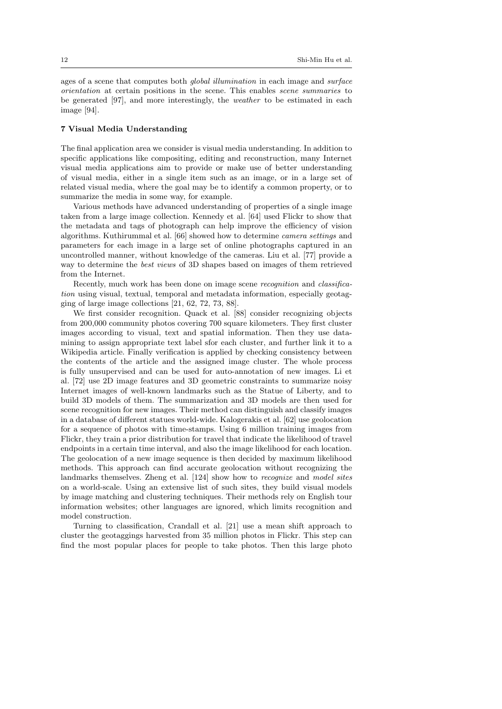ages of a scene that computes both global illumination in each image and surface orientation at certain positions in the scene. This enables scene summaries to be generated [97], and more interestingly, the weather to be estimated in each image [94].

#### 7 Visual Media Understanding

The final application area we consider is visual media understanding. In addition to specific applications like compositing, editing and reconstruction, many Internet visual media applications aim to provide or make use of better understanding of visual media, either in a single item such as an image, or in a large set of related visual media, where the goal may be to identify a common property, or to summarize the media in some way, for example.

Various methods have advanced understanding of properties of a single image taken from a large image collection. Kennedy et al. [64] used Flickr to show that the metadata and tags of photograph can help improve the efficiency of vision algorithms. Kuthirummal et al. [66] showed how to determine camera settings and parameters for each image in a large set of online photographs captured in an uncontrolled manner, without knowledge of the cameras. Liu et al. [77] provide a way to determine the *best views* of 3D shapes based on images of them retrieved from the Internet.

Recently, much work has been done on image scene recognition and classification using visual, textual, temporal and metadata information, especially geotagging of large image collections [21, 62, 72, 73, 88].

We first consider recognition. Quack et al. [88] consider recognizing objects from 200,000 community photos covering 700 square kilometers. They first cluster images according to visual, text and spatial information. Then they use datamining to assign appropriate text label sfor each cluster, and further link it to a Wikipedia article. Finally verification is applied by checking consistency between the contents of the article and the assigned image cluster. The whole process is fully unsupervised and can be used for auto-annotation of new images. Li et al. [72] use 2D image features and 3D geometric constraints to summarize noisy Internet images of well-known landmarks such as the Statue of Liberty, and to build 3D models of them. The summarization and 3D models are then used for scene recognition for new images. Their method can distinguish and classify images in a database of different statues world-wide. Kalogerakis et al. [62] use geolocation for a sequence of photos with time-stamps. Using 6 million training images from Flickr, they train a prior distribution for travel that indicate the likelihood of travel endpoints in a certain time interval, and also the image likelihood for each location. The geolocation of a new image sequence is then decided by maximum likelihood methods. This approach can find accurate geolocation without recognizing the landmarks themselves. Zheng et al. [124] show how to recognize and model sites on a world-scale. Using an extensive list of such sites, they build visual models by image matching and clustering techniques. Their methods rely on English tour information websites; other languages are ignored, which limits recognition and model construction.

Turning to classification, Crandall et al. [21] use a mean shift approach to cluster the geotaggings harvested from 35 million photos in Flickr. This step can find the most popular places for people to take photos. Then this large photo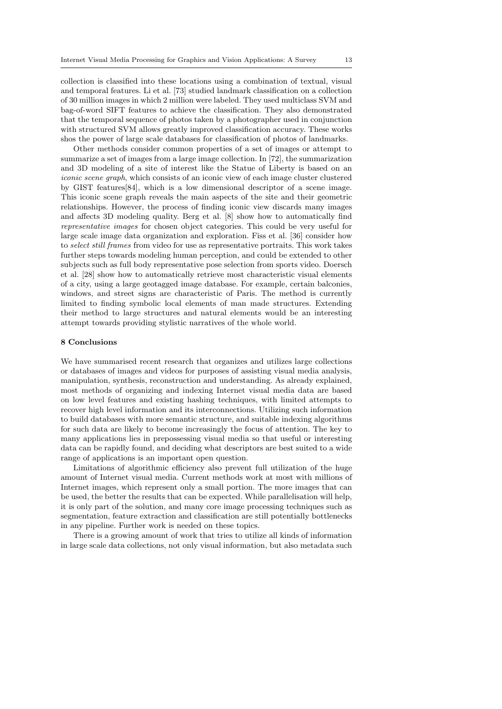collection is classified into these locations using a combination of textual, visual and temporal features. Li et al. [73] studied landmark classification on a collection of 30 million images in which 2 million were labeled. They used multiclass SVM and bag-of-word SIFT features to achieve the classification. They also demonstrated that the temporal sequence of photos taken by a photographer used in conjunction with structured SVM allows greatly improved classification accuracy. These works shos the power of large scale databases for classification of photos of landmarks.

Other methods consider common properties of a set of images or attempt to summarize a set of images from a large image collection. In [72], the summarization and 3D modeling of a site of interest like the Statue of Liberty is based on an iconic scene graph, which consists of an iconic view of each image cluster clustered by GIST features[84], which is a low dimensional descriptor of a scene image. This iconic scene graph reveals the main aspects of the site and their geometric relationships. However, the process of finding iconic view discards many images and affects 3D modeling quality. Berg et al. [8] show how to automatically find representative images for chosen object categories. This could be very useful for large scale image data organization and exploration. Fiss et al. [36] consider how to select still frames from video for use as representative portraits. This work takes further steps towards modeling human perception, and could be extended to other subjects such as full body representative pose selection from sports video. Doersch et al. [28] show how to automatically retrieve most characteristic visual elements of a city, using a large geotagged image database. For example, certain balconies, windows, and street signs are characteristic of Paris. The method is currently limited to finding symbolic local elements of man made structures. Extending their method to large structures and natural elements would be an interesting attempt towards providing stylistic narratives of the whole world.

#### 8 Conclusions

We have summarised recent research that organizes and utilizes large collections or databases of images and videos for purposes of assisting visual media analysis, manipulation, synthesis, reconstruction and understanding. As already explained, most methods of organizing and indexing Internet visual media data are based on low level features and existing hashing techniques, with limited attempts to recover high level information and its interconnections. Utilizing such information to build databases with more semantic structure, and suitable indexing algorithms for such data are likely to become increasingly the focus of attention. The key to many applications lies in prepossessing visual media so that useful or interesting data can be rapidly found, and deciding what descriptors are best suited to a wide range of applications is an important open question.

Limitations of algorithmic efficiency also prevent full utilization of the huge amount of Internet visual media. Current methods work at most with millions of Internet images, which represent only a small portion. The more images that can be used, the better the results that can be expected. While parallelisation will help, it is only part of the solution, and many core image processing techniques such as segmentation, feature extraction and classification are still potentially bottlenecks in any pipeline. Further work is needed on these topics.

There is a growing amount of work that tries to utilize all kinds of information in large scale data collections, not only visual information, but also metadata such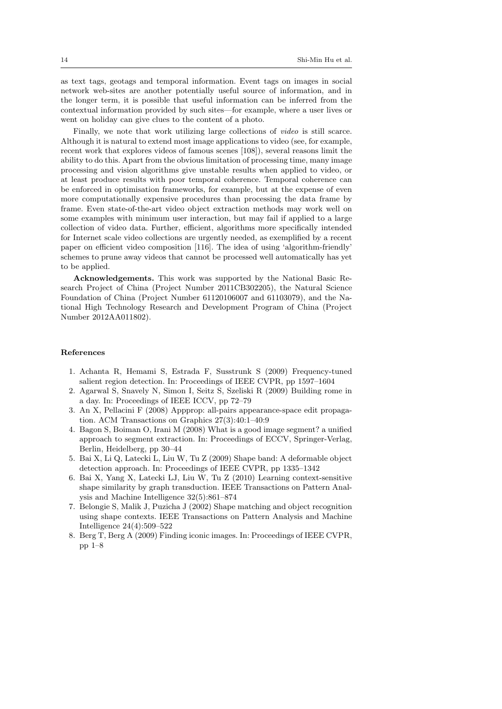as text tags, geotags and temporal information. Event tags on images in social network web-sites are another potentially useful source of information, and in the longer term, it is possible that useful information can be inferred from the contextual information provided by such sites—for example, where a user lives or went on holiday can give clues to the content of a photo.

Finally, we note that work utilizing large collections of video is still scarce. Although it is natural to extend most image applications to video (see, for example, recent work that explores videos of famous scenes [108]), several reasons limit the ability to do this. Apart from the obvious limitation of processing time, many image processing and vision algorithms give unstable results when applied to video, or at least produce results with poor temporal coherence. Temporal coherence can be enforced in optimisation frameworks, for example, but at the expense of even more computationally expensive procedures than processing the data frame by frame. Even state-of-the-art video object extraction methods may work well on some examples with minimum user interaction, but may fail if applied to a large collection of video data. Further, efficient, algorithms more specifically intended for Internet scale video collections are urgently needed, as exemplified by a recent paper on efficient video composition [116]. The idea of using 'algorithm-friendly' schemes to prune away videos that cannot be processed well automatically has yet to be applied.

Acknowledgements. This work was supported by the National Basic Research Project of China (Project Number 2011CB302205), the Natural Science Foundation of China (Project Number 61120106007 and 61103079), and the National High Technology Research and Development Program of China (Project Number 2012AA011802).

#### References

- 1. Achanta R, Hemami S, Estrada F, Susstrunk S (2009) Frequency-tuned salient region detection. In: Proceedings of IEEE CVPR, pp 1597–1604
- 2. Agarwal S, Snavely N, Simon I, Seitz S, Szeliski R (2009) Building rome in a day. In: Proceedings of IEEE ICCV, pp 72–79
- 3. An X, Pellacini F (2008) Appprop: all-pairs appearance-space edit propagation. ACM Transactions on Graphics 27(3):40:1–40:9
- 4. Bagon S, Boiman O, Irani M (2008) What is a good image segment? a unified approach to segment extraction. In: Proceedings of ECCV, Springer-Verlag, Berlin, Heidelberg, pp 30–44
- 5. Bai X, Li Q, Latecki L, Liu W, Tu Z (2009) Shape band: A deformable object detection approach. In: Proceedings of IEEE CVPR, pp 1335–1342
- 6. Bai X, Yang X, Latecki LJ, Liu W, Tu Z (2010) Learning context-sensitive shape similarity by graph transduction. IEEE Transactions on Pattern Analysis and Machine Intelligence 32(5):861–874
- 7. Belongie S, Malik J, Puzicha J (2002) Shape matching and object recognition using shape contexts. IEEE Transactions on Pattern Analysis and Machine Intelligence 24(4):509–522
- 8. Berg T, Berg A (2009) Finding iconic images. In: Proceedings of IEEE CVPR, pp 1–8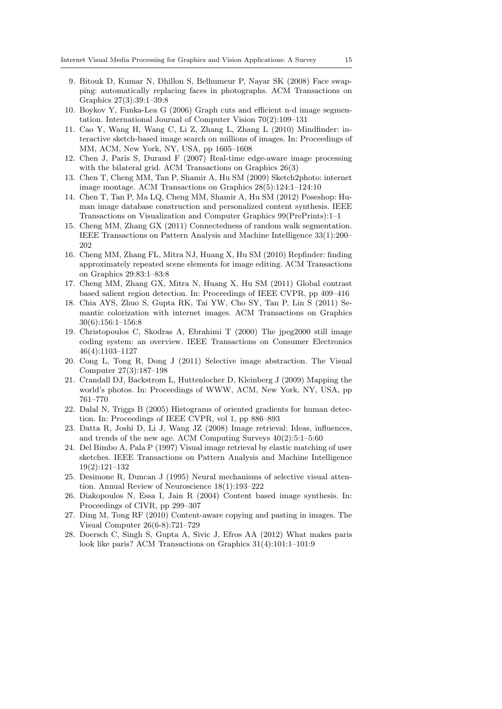- 9. Bitouk D, Kumar N, Dhillon S, Belhumeur P, Nayar SK (2008) Face swapping: automatically replacing faces in photographs. ACM Transactions on Graphics 27(3):39:1–39:8
- 10. Boykov Y, Funka-Lea G (2006) Graph cuts and efficient n-d image segmentation. International Journal of Computer Vision 70(2):109–131
- 11. Cao Y, Wang H, Wang C, Li Z, Zhang L, Zhang L (2010) Mindfinder: interactive sketch-based image search on millions of images. In: Proceedings of MM, ACM, New York, NY, USA, pp 1605–1608
- 12. Chen J, Paris S, Durand F (2007) Real-time edge-aware image processing with the bilateral grid. ACM Transactions on Graphics  $26(3)$
- 13. Chen T, Cheng MM, Tan P, Shamir A, Hu SM (2009) Sketch2photo: internet image montage. ACM Transactions on Graphics 28(5):124:1–124:10
- 14. Chen T, Tan P, Ma LQ, Cheng MM, Shamir A, Hu SM (2012) Poseshop: Human image database construction and personalized content synthesis. IEEE Transactions on Visualization and Computer Graphics 99(PrePrints):1–1
- 15. Cheng MM, Zhang GX (2011) Connectedness of random walk segmentation. IEEE Transactions on Pattern Analysis and Machine Intelligence 33(1):200– 202
- 16. Cheng MM, Zhang FL, Mitra NJ, Huang X, Hu SM (2010) Repfinder: finding approximately repeated scene elements for image editing. ACM Transactions on Graphics 29:83:1–83:8
- 17. Cheng MM, Zhang GX, Mitra N, Huang X, Hu SM (2011) Global contrast based salient region detection. In: Proceedings of IEEE CVPR, pp 409–416
- 18. Chia AYS, Zhuo S, Gupta RK, Tai YW, Cho SY, Tan P, Lin S (2011) Semantic colorization with internet images. ACM Transactions on Graphics 30(6):156:1–156:8
- 19. Christopoulos C, Skodras A, Ebrahimi T (2000) The jpeg2000 still image coding system: an overview. IEEE Transactions on Consumer Electronics 46(4):1103–1127
- 20. Cong L, Tong R, Dong J (2011) Selective image abstraction. The Visual Computer 27(3):187–198
- 21. Crandall DJ, Backstrom L, Huttenlocher D, Kleinberg J (2009) Mapping the world's photos. In: Proceedings of WWW, ACM, New York, NY, USA, pp 761–770
- 22. Dalal N, Triggs B (2005) Histograms of oriented gradients for human detection. In: Proceedings of IEEE CVPR, vol 1, pp 886–893
- 23. Datta R, Joshi D, Li J, Wang JZ (2008) Image retrieval: Ideas, influences, and trends of the new age. ACM Computing Surveys 40(2):5:1–5:60
- 24. Del Bimbo A, Pala P (1997) Visual image retrieval by elastic matching of user sketches. IEEE Transactions on Pattern Analysis and Machine Intelligence 19(2):121–132
- 25. Desimone R, Duncan J (1995) Neural mechanisms of selective visual attention. Annual Review of Neuroscience 18(1):193–222
- 26. Diakopoulos N, Essa I, Jain R (2004) Content based image synthesis. In: Proceedings of CIVR, pp 299–307
- 27. Ding M, Tong RF (2010) Content-aware copying and pasting in images. The Visual Computer 26(6-8):721–729
- 28. Doersch C, Singh S, Gupta A, Sivic J, Efros AA (2012) What makes paris look like paris? ACM Transactions on Graphics 31(4):101:1–101:9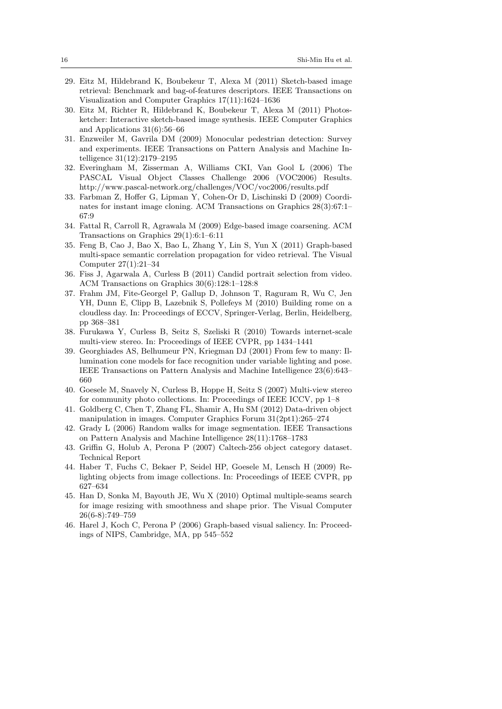- 29. Eitz M, Hildebrand K, Boubekeur T, Alexa M (2011) Sketch-based image retrieval: Benchmark and bag-of-features descriptors. IEEE Transactions on Visualization and Computer Graphics 17(11):1624–1636
- 30. Eitz M, Richter R, Hildebrand K, Boubekeur T, Alexa M (2011) Photosketcher: Interactive sketch-based image synthesis. IEEE Computer Graphics and Applications 31(6):56–66
- 31. Enzweiler M, Gavrila DM (2009) Monocular pedestrian detection: Survey and experiments. IEEE Transactions on Pattern Analysis and Machine Intelligence 31(12):2179–2195
- 32. Everingham M, Zisserman A, Williams CKI, Van Gool L (2006) The PASCAL Visual Object Classes Challenge 2006 (VOC2006) Results. http://www.pascal-network.org/challenges/VOC/voc2006/results.pdf
- 33. Farbman Z, Hoffer G, Lipman Y, Cohen-Or D, Lischinski D (2009) Coordinates for instant image cloning. ACM Transactions on Graphics 28(3):67:1– 67:9
- 34. Fattal R, Carroll R, Agrawala M (2009) Edge-based image coarsening. ACM Transactions on Graphics 29(1):6:1–6:11
- 35. Feng B, Cao J, Bao X, Bao L, Zhang Y, Lin S, Yun X (2011) Graph-based multi-space semantic correlation propagation for video retrieval. The Visual Computer 27(1):21–34
- 36. Fiss J, Agarwala A, Curless B (2011) Candid portrait selection from video. ACM Transactions on Graphics 30(6):128:1–128:8
- 37. Frahm JM, Fite-Georgel P, Gallup D, Johnson T, Raguram R, Wu C, Jen YH, Dunn E, Clipp B, Lazebnik S, Pollefeys M (2010) Building rome on a cloudless day. In: Proceedings of ECCV, Springer-Verlag, Berlin, Heidelberg, pp 368–381
- 38. Furukawa Y, Curless B, Seitz S, Szeliski R (2010) Towards internet-scale multi-view stereo. In: Proceedings of IEEE CVPR, pp 1434–1441
- 39. Georghiades AS, Belhumeur PN, Kriegman DJ (2001) From few to many: Illumination cone models for face recognition under variable lighting and pose. IEEE Transactions on Pattern Analysis and Machine Intelligence 23(6):643– 660
- 40. Goesele M, Snavely N, Curless B, Hoppe H, Seitz S (2007) Multi-view stereo for community photo collections. In: Proceedings of IEEE ICCV, pp 1–8
- 41. Goldberg C, Chen T, Zhang FL, Shamir A, Hu SM (2012) Data-driven object manipulation in images. Computer Graphics Forum 31(2pt1):265–274
- 42. Grady L (2006) Random walks for image segmentation. IEEE Transactions on Pattern Analysis and Machine Intelligence 28(11):1768–1783
- 43. Griffin G, Holub A, Perona P (2007) Caltech-256 object category dataset. Technical Report
- 44. Haber T, Fuchs C, Bekaer P, Seidel HP, Goesele M, Lensch H (2009) Relighting objects from image collections. In: Proceedings of IEEE CVPR, pp 627–634
- 45. Han D, Sonka M, Bayouth JE, Wu X (2010) Optimal multiple-seams search for image resizing with smoothness and shape prior. The Visual Computer 26(6-8):749–759
- 46. Harel J, Koch C, Perona P (2006) Graph-based visual saliency. In: Proceedings of NIPS, Cambridge, MA, pp 545–552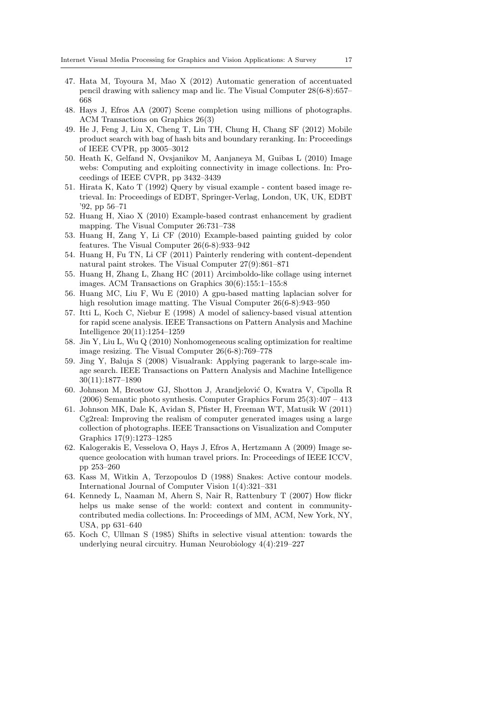- 47. Hata M, Toyoura M, Mao X (2012) Automatic generation of accentuated pencil drawing with saliency map and lic. The Visual Computer 28(6-8):657– 668
- 48. Hays J, Efros AA (2007) Scene completion using millions of photographs. ACM Transactions on Graphics 26(3)
- 49. He J, Feng J, Liu X, Cheng T, Lin TH, Chung H, Chang SF (2012) Mobile product search with bag of hash bits and boundary reranking. In: Proceedings of IEEE CVPR, pp 3005–3012
- 50. Heath K, Gelfand N, Ovsjanikov M, Aanjaneya M, Guibas L (2010) Image webs: Computing and exploiting connectivity in image collections. In: Proceedings of IEEE CVPR, pp 3432–3439
- 51. Hirata K, Kato T (1992) Query by visual example content based image retrieval. In: Proceedings of EDBT, Springer-Verlag, London, UK, UK, EDBT '92, pp 56–71
- 52. Huang H, Xiao X (2010) Example-based contrast enhancement by gradient mapping. The Visual Computer 26:731–738
- 53. Huang H, Zang Y, Li CF (2010) Example-based painting guided by color features. The Visual Computer 26(6-8):933–942
- 54. Huang H, Fu TN, Li CF (2011) Painterly rendering with content-dependent natural paint strokes. The Visual Computer 27(9):861–871
- 55. Huang H, Zhang L, Zhang HC (2011) Arcimboldo-like collage using internet images. ACM Transactions on Graphics 30(6):155:1–155:8
- 56. Huang MC, Liu F, Wu E (2010) A gpu-based matting laplacian solver for high resolution image matting. The Visual Computer 26(6-8):943–950
- 57. Itti L, Koch C, Niebur E (1998) A model of saliency-based visual attention for rapid scene analysis. IEEE Transactions on Pattern Analysis and Machine Intelligence 20(11):1254–1259
- 58. Jin Y, Liu L, Wu Q (2010) Nonhomogeneous scaling optimization for realtime image resizing. The Visual Computer 26(6-8):769–778
- 59. Jing Y, Baluja S (2008) Visualrank: Applying pagerank to large-scale image search. IEEE Transactions on Pattern Analysis and Machine Intelligence 30(11):1877–1890
- 60. Johnson M, Brostow GJ, Shotton J, Arandjelović O, Kwatra V, Cipolla R (2006) Semantic photo synthesis. Computer Graphics Forum 25(3):407 – 413
- 61. Johnson MK, Dale K, Avidan S, Pfister H, Freeman WT, Matusik W (2011) Cg2real: Improving the realism of computer generated images using a large collection of photographs. IEEE Transactions on Visualization and Computer Graphics 17(9):1273–1285
- 62. Kalogerakis E, Vesselova O, Hays J, Efros A, Hertzmann A (2009) Image sequence geolocation with human travel priors. In: Proceedings of IEEE ICCV, pp 253–260
- 63. Kass M, Witkin A, Terzopoulos D (1988) Snakes: Active contour models. International Journal of Computer Vision 1(4):321–331
- 64. Kennedy L, Naaman M, Ahern S, Nair R, Rattenbury T (2007) How flickr helps us make sense of the world: context and content in communitycontributed media collections. In: Proceedings of MM, ACM, New York, NY, USA, pp 631–640
- 65. Koch C, Ullman S (1985) Shifts in selective visual attention: towards the underlying neural circuitry. Human Neurobiology 4(4):219–227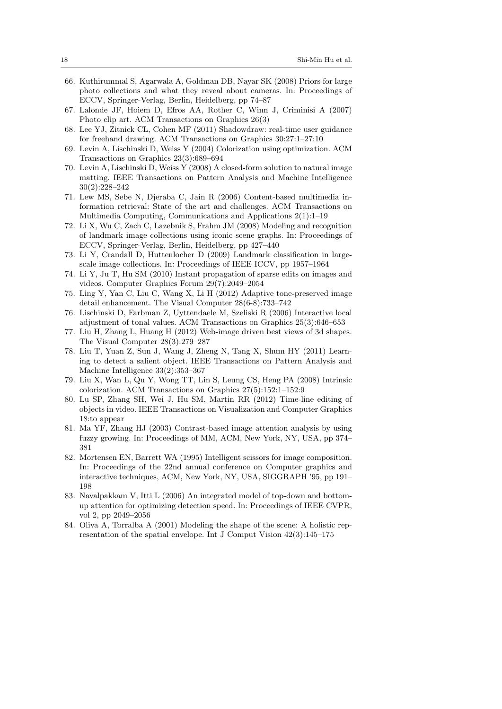- 66. Kuthirummal S, Agarwala A, Goldman DB, Nayar SK (2008) Priors for large photo collections and what they reveal about cameras. In: Proceedings of ECCV, Springer-Verlag, Berlin, Heidelberg, pp 74–87
- 67. Lalonde JF, Hoiem D, Efros AA, Rother C, Winn J, Criminisi A (2007) Photo clip art. ACM Transactions on Graphics 26(3)
- 68. Lee YJ, Zitnick CL, Cohen MF (2011) Shadowdraw: real-time user guidance for freehand drawing. ACM Transactions on Graphics 30:27:1–27:10
- 69. Levin A, Lischinski D, Weiss Y (2004) Colorization using optimization. ACM Transactions on Graphics 23(3):689–694
- 70. Levin A, Lischinski D, Weiss Y (2008) A closed-form solution to natural image matting. IEEE Transactions on Pattern Analysis and Machine Intelligence 30(2):228–242
- 71. Lew MS, Sebe N, Djeraba C, Jain R (2006) Content-based multimedia information retrieval: State of the art and challenges. ACM Transactions on Multimedia Computing, Communications and Applications 2(1):1–19
- 72. Li X, Wu C, Zach C, Lazebnik S, Frahm JM (2008) Modeling and recognition of landmark image collections using iconic scene graphs. In: Proceedings of ECCV, Springer-Verlag, Berlin, Heidelberg, pp 427–440
- 73. Li Y, Crandall D, Huttenlocher D (2009) Landmark classification in largescale image collections. In: Proceedings of IEEE ICCV, pp 1957–1964
- 74. Li Y, Ju T, Hu SM (2010) Instant propagation of sparse edits on images and videos. Computer Graphics Forum 29(7):2049–2054
- 75. Ling Y, Yan C, Liu C, Wang X, Li H (2012) Adaptive tone-preserved image detail enhancement. The Visual Computer 28(6-8):733–742
- 76. Lischinski D, Farbman Z, Uyttendaele M, Szeliski R (2006) Interactive local adjustment of tonal values. ACM Transactions on Graphics 25(3):646–653
- 77. Liu H, Zhang L, Huang H (2012) Web-image driven best views of 3d shapes. The Visual Computer 28(3):279–287
- 78. Liu T, Yuan Z, Sun J, Wang J, Zheng N, Tang X, Shum HY (2011) Learning to detect a salient object. IEEE Transactions on Pattern Analysis and Machine Intelligence 33(2):353–367
- 79. Liu X, Wan L, Qu Y, Wong TT, Lin S, Leung CS, Heng PA (2008) Intrinsic colorization. ACM Transactions on Graphics 27(5):152:1–152:9
- 80. Lu SP, Zhang SH, Wei J, Hu SM, Martin RR (2012) Time-line editing of objects in video. IEEE Transactions on Visualization and Computer Graphics 18:to appear
- 81. Ma YF, Zhang HJ (2003) Contrast-based image attention analysis by using fuzzy growing. In: Proceedings of MM, ACM, New York, NY, USA, pp 374– 381
- 82. Mortensen EN, Barrett WA (1995) Intelligent scissors for image composition. In: Proceedings of the 22nd annual conference on Computer graphics and interactive techniques, ACM, New York, NY, USA, SIGGRAPH '95, pp 191– 198
- 83. Navalpakkam V, Itti L (2006) An integrated model of top-down and bottomup attention for optimizing detection speed. In: Proceedings of IEEE CVPR, vol 2, pp 2049–2056
- 84. Oliva A, Torralba A (2001) Modeling the shape of the scene: A holistic representation of the spatial envelope. Int J Comput Vision 42(3):145–175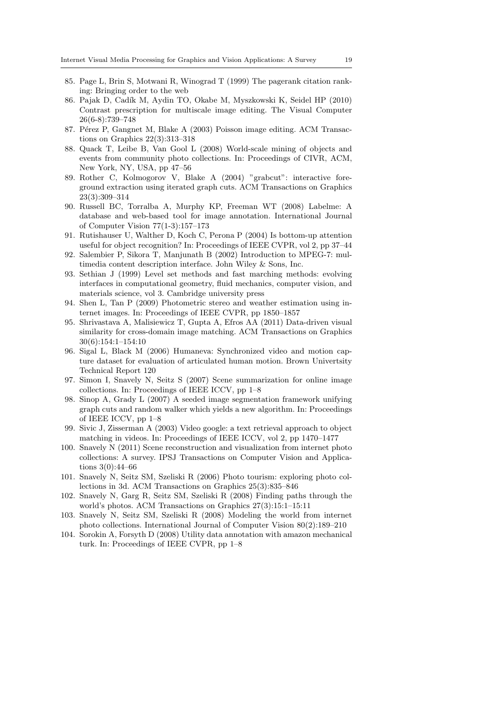- 85. Page L, Brin S, Motwani R, Winograd T (1999) The pagerank citation ranking: Bringing order to the web
- 86. Pajak D, Cad´ık M, Aydin TO, Okabe M, Myszkowski K, Seidel HP (2010) Contrast prescription for multiscale image editing. The Visual Computer 26(6-8):739–748
- 87. Pérez P, Gangnet M, Blake A (2003) Poisson image editing. ACM Transactions on Graphics 22(3):313–318
- 88. Quack T, Leibe B, Van Gool L (2008) World-scale mining of objects and events from community photo collections. In: Proceedings of CIVR, ACM, New York, NY, USA, pp 47–56
- 89. Rother C, Kolmogorov V, Blake A (2004) "grabcut": interactive foreground extraction using iterated graph cuts. ACM Transactions on Graphics 23(3):309–314
- 90. Russell BC, Torralba A, Murphy KP, Freeman WT (2008) Labelme: A database and web-based tool for image annotation. International Journal of Computer Vision 77(1-3):157–173
- 91. Rutishauser U, Walther D, Koch C, Perona P (2004) Is bottom-up attention useful for object recognition? In: Proceedings of IEEE CVPR, vol 2, pp 37–44
- 92. Salembier P, Sikora T, Manjunath B (2002) Introduction to MPEG-7: multimedia content description interface. John Wiley & Sons, Inc.
- 93. Sethian J (1999) Level set methods and fast marching methods: evolving interfaces in computational geometry, fluid mechanics, computer vision, and materials science, vol 3. Cambridge university press
- 94. Shen L, Tan P (2009) Photometric stereo and weather estimation using internet images. In: Proceedings of IEEE CVPR, pp 1850–1857
- 95. Shrivastava A, Malisiewicz T, Gupta A, Efros AA (2011) Data-driven visual similarity for cross-domain image matching. ACM Transactions on Graphics 30(6):154:1–154:10
- 96. Sigal L, Black M (2006) Humaneva: Synchronized video and motion capture dataset for evaluation of articulated human motion. Brown Univertsity Technical Report 120
- 97. Simon I, Snavely N, Seitz S (2007) Scene summarization for online image collections. In: Proceedings of IEEE ICCV, pp 1–8
- 98. Sinop A, Grady L (2007) A seeded image segmentation framework unifying graph cuts and random walker which yields a new algorithm. In: Proceedings of IEEE ICCV, pp 1–8
- 99. Sivic J, Zisserman A (2003) Video google: a text retrieval approach to object matching in videos. In: Proceedings of IEEE ICCV, vol 2, pp 1470–1477
- 100. Snavely N (2011) Scene reconstruction and visualization from internet photo collections: A survey. IPSJ Transactions on Computer Vision and Applications 3(0):44–66
- 101. Snavely N, Seitz SM, Szeliski R (2006) Photo tourism: exploring photo collections in 3d. ACM Transactions on Graphics 25(3):835–846
- 102. Snavely N, Garg R, Seitz SM, Szeliski R (2008) Finding paths through the world's photos. ACM Transactions on Graphics 27(3):15:1–15:11
- 103. Snavely N, Seitz SM, Szeliski R (2008) Modeling the world from internet photo collections. International Journal of Computer Vision 80(2):189–210
- 104. Sorokin A, Forsyth D (2008) Utility data annotation with amazon mechanical turk. In: Proceedings of IEEE CVPR, pp 1–8